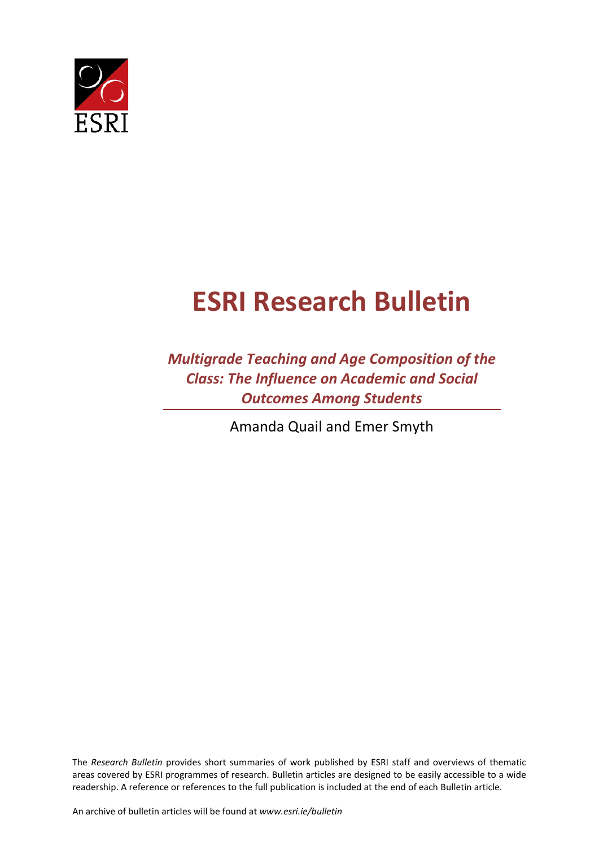

## **ESRI Research Bulletin**

*Multigrade Teaching and Age Composition of the Class: The Influence on Academic and Social Outcomes Among Students*

Amanda Quail and Emer Smyth

The *Research Bulletin* provides short summaries of work published by ESRI staff and overviews of thematic areas covered by ESRI programmes of research. Bulletin articles are designed to be easily accessible to a wide readership. A reference or references to the full publication is included at the end of each Bulletin article.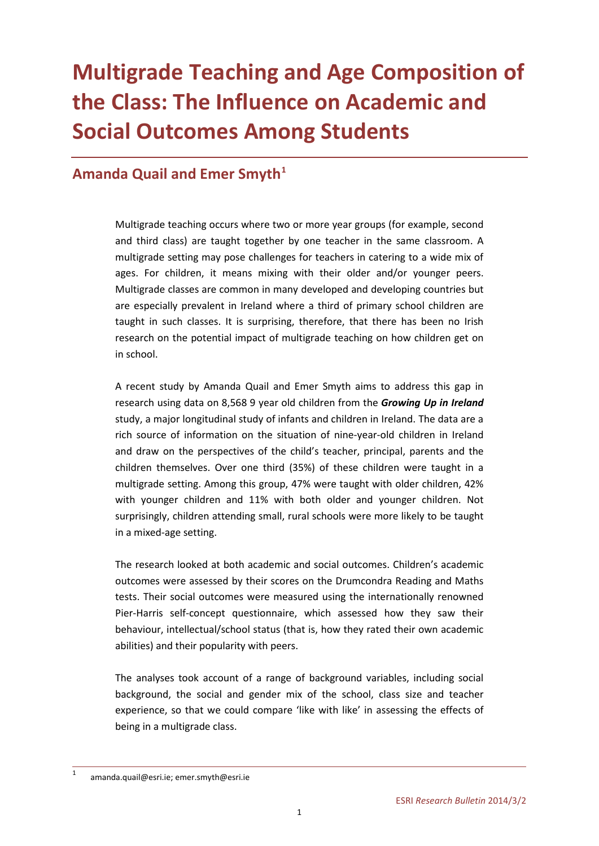## **Multigrade Teaching and Age Composition of the Class: The Influence on Academic and Social Outcomes Among Students**

## **Amanda Quail and Emer Smyth[1](#page-2-0)**

Multigrade teaching occurs where two or more year groups (for example, second and third class) are taught together by one teacher in the same classroom. A multigrade setting may pose challenges for teachers in catering to a wide mix of ages. For children, it means mixing with their older and/or younger peers. Multigrade classes are common in many developed and developing countries but are especially prevalent in Ireland where a third of primary school children are taught in such classes. It is surprising, therefore, that there has been no Irish research on the potential impact of multigrade teaching on how children get on in school.

A recent study by Amanda Quail and Emer Smyth aims to address this gap in research using data on 8,568 9 year old children from the *Growing Up in Ireland* study, a major longitudinal study of infants and children in Ireland. The data are a rich source of information on the situation of nine-year-old children in Ireland and draw on the perspectives of the child's teacher, principal, parents and the children themselves. Over one third (35%) of these children were taught in a multigrade setting. Among this group, 47% were taught with older children, 42% with younger children and 11% with both older and younger children. Not surprisingly, children attending small, rural schools were more likely to be taught in a mixed-age setting.

The research looked at both academic and social outcomes. Children's academic outcomes were assessed by their scores on the Drumcondra Reading and Maths tests. Their social outcomes were measured using the internationally renowned Pier-Harris self-concept questionnaire, which assessed how they saw their behaviour, intellectual/school status (that is, how they rated their own academic abilities) and their popularity with peers.

The analyses took account of a range of background variables, including social background, the social and gender mix of the school, class size and teacher experience, so that we could compare 'like with like' in assessing the effects of being in a multigrade class.

<span id="page-2-0"></span>[amanda.quail@esri.ie;](mailto:amanda.quail@esri.ie) [emer.smyth@esri.ie](mailto:emer.smyth@esri.ie)